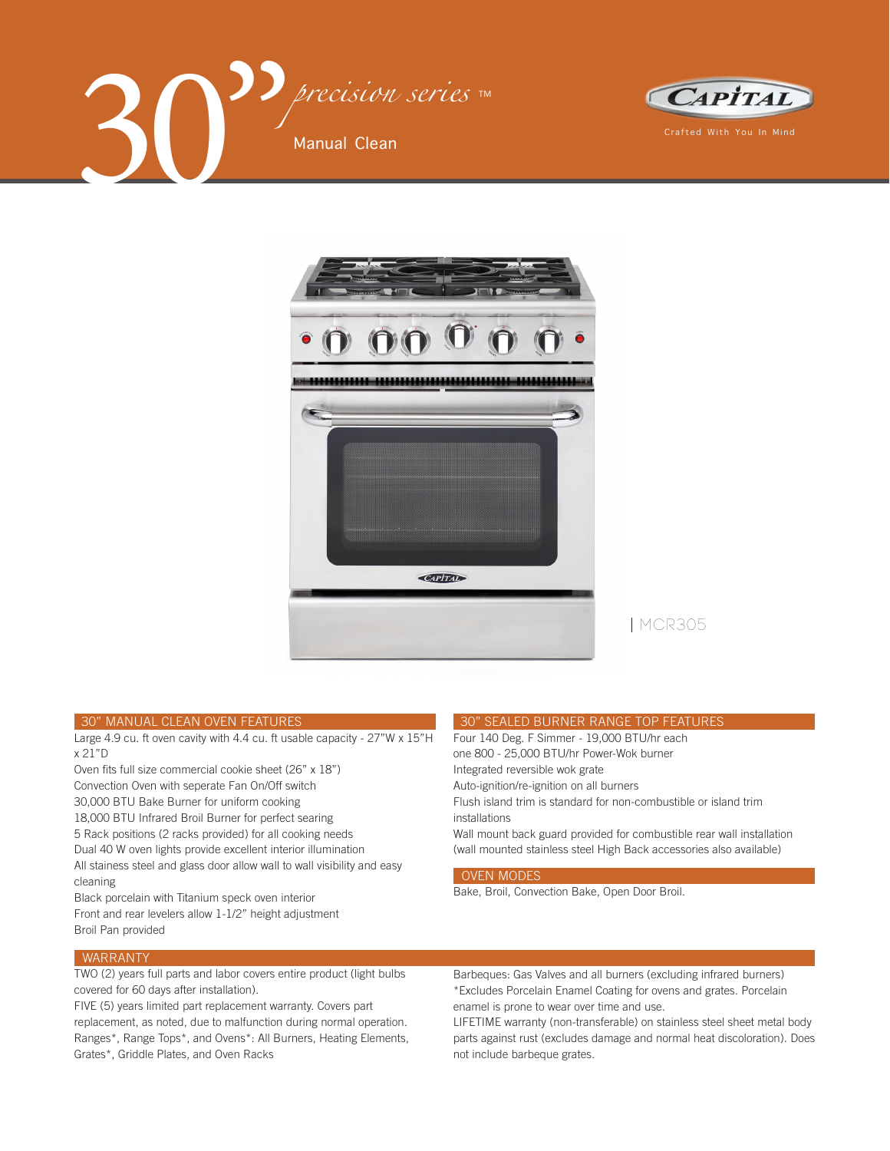





MCR305

#### 30" MANUAL CLEAN OVEN FEATURES

Large 4.9 cu. ft oven cavity with 4.4 cu. ft usable capacity - 27"W x 15"H x 21"D

Oven fits full size commercial cookie sheet (26" x 18") Convection Oven with seperate Fan On/Off switch 30,000 BTU Bake Burner for uniform cooking 18,000 BTU Infrared Broil Burner for perfect searing 5 Rack positions (2 racks provided) for all cooking needs Dual 40 W oven lights provide excellent interior illumination All stainess steel and glass door allow wall to wall visibility and easy cleaning

Black porcelain with Titanium speck oven interior Front and rear levelers allow 1-1/2" height adjustment Broil Pan provided

### WARRANTY

TWO (2) years full parts and labor covers entire product (light bulbs covered for 60 days after installation).

FIVE (5) years limited part replacement warranty. Covers part replacement, as noted, due to malfunction during normal operation. Ranges\*, Range Tops\*, and Ovens\*: All Burners, Heating Elements, Grates\*, Griddle Plates, and Oven Racks

#### 30" SEALED BURNER RANGE TOP FEATURES

Four 140 Deg. F Simmer - 19,000 BTU/hr each

one 800 - 25,000 BTU/hr Power-Wok burner Integrated reversible wok grate

Auto-ignition/re-ignition on all burners

Flush island trim is standard for non-combustible or island trim installations

Wall mount back guard provided for combustible rear wall installation (wall mounted stainless steel High Back accessories also available)

### OVEN MODES

Bake, Broil, Convection Bake, Open Door Broil.

Barbeques: Gas Valves and all burners (excluding infrared burners) \*Excludes Porcelain Enamel Coating for ovens and grates. Porcelain enamel is prone to wear over time and use.

LIFETIME warranty (non-transferable) on stainless steel sheet metal body parts against rust (excludes damage and normal heat discoloration). Does not include barbeque grates.